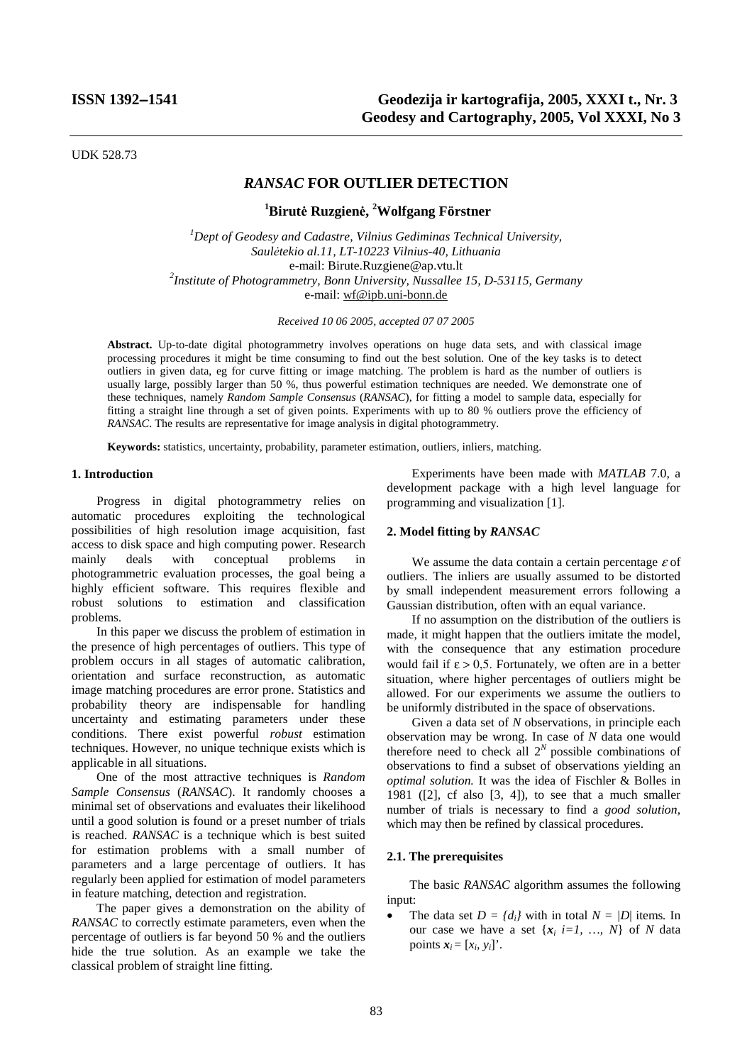UDK 528.73

# *RANSAC* **FOR OUTLIER DETECTION**

**1 Birutė Ruzgienė, 2 Wolfgang Förstner** 

*1 Dept of Geodesy and Cadastre, Vilnius Gediminas Technical University, Saulėtekio al.11, LT-10223 Vilnius-40, Lithuania*  e-mail: Birute.Ruzgiene@ap.vtu.lt *<sup>2</sup> Institute of Photogrammetry, Bonn University, Nussallee 15, D-53115, Germany*  e-mail: wf@ipb.uni-bonn.de

*Received 10 06 2005, accepted 07 07 2005* 

**Abstract.** Up-to-date digital photogrammetry involves operations on huge data sets, and with classical image processing procedures it might be time consuming to find out the best solution. One of the key tasks is to detect outliers in given data, eg for curve fitting or image matching. The problem is hard as the number of outliers is usually large, possibly larger than 50 %, thus powerful estimation techniques are needed. We demonstrate one of these techniques, namely *Random Sample Consensus* (*RANSAC*), for fitting a model to sample data, especially for fitting a straight line through a set of given points. Experiments with up to 80 % outliers prove the efficiency of *RANSAC*. The results are representative for image analysis in digital photogrammetry.

**Keywords:** statistics, uncertainty, probability, parameter estimation, outliers, inliers, matching.

### **1. Introduction**

Progress in digital photogrammetry relies on automatic procedures exploiting the technological possibilities of high resolution image acquisition, fast access to disk space and high computing power. Research mainly deals with conceptual problems in photogrammetric evaluation processes, the goal being a highly efficient software. This requires flexible and robust solutions to estimation and classification problems.

In this paper we discuss the problem of estimation in the presence of high percentages of outliers. This type of problem occurs in all stages of automatic calibration, orientation and surface reconstruction, as automatic image matching procedures are error prone. Statistics and probability theory are indispensable for handling uncertainty and estimating parameters under these conditions. There exist powerful *robust* estimation techniques. However, no unique technique exists which is applicable in all situations.

One of the most attractive techniques is *Random Sample Consensus* (*RANSAC*). It randomly chooses a minimal set of observations and evaluates their likelihood until a good solution is found or a preset number of trials is reached. *RANSAC* is a technique which is best suited for estimation problems with a small number of parameters and a large percentage of outliers. It has regularly been applied for estimation of model parameters in feature matching, detection and registration.

The paper gives a demonstration on the ability of *RANSAC* to correctly estimate parameters, even when the percentage of outliers is far beyond 50 % and the outliers hide the true solution. As an example we take the classical problem of straight line fitting.

Experiments have been made with *MATLAB* 7.0, a development package with a high level language for programming and visualization [1].

## **2. Model fitting by** *RANSAC*

We assume the data contain a certain percentage  $\varepsilon$  of outliers. The inliers are usually assumed to be distorted by small independent measurement errors following a Gaussian distribution, often with an equal variance.

If no assumption on the distribution of the outliers is made, it might happen that the outliers imitate the model, with the consequence that any estimation procedure would fail if  $\varepsilon > 0.5$ . Fortunately, we often are in a better situation, where higher percentages of outliers might be allowed. For our experiments we assume the outliers to be uniformly distributed in the space of observations.

Given a data set of *N* observations, in principle each observation may be wrong. In case of *N* data one would therefore need to check all  $2^N$  possible combinations of observations to find a subset of observations yielding an *optimal solution.* It was the idea of Fischler & Bolles in 1981 ( $[2]$ , cf also  $[3, 4]$ ), to see that a much smaller number of trials is necessary to find a *good solution*, which may then be refined by classical procedures.

### **2.1. The prerequisites**

The basic *RANSAC* algorithm assumes the following input:

The data set  $D = \{d_i\}$  with in total  $N = |D|$  items. In our case we have a set  $\{x_i \in I, ..., N\}$  of *N* data points  $\mathbf{x}_i = [x_i, y_i]$ .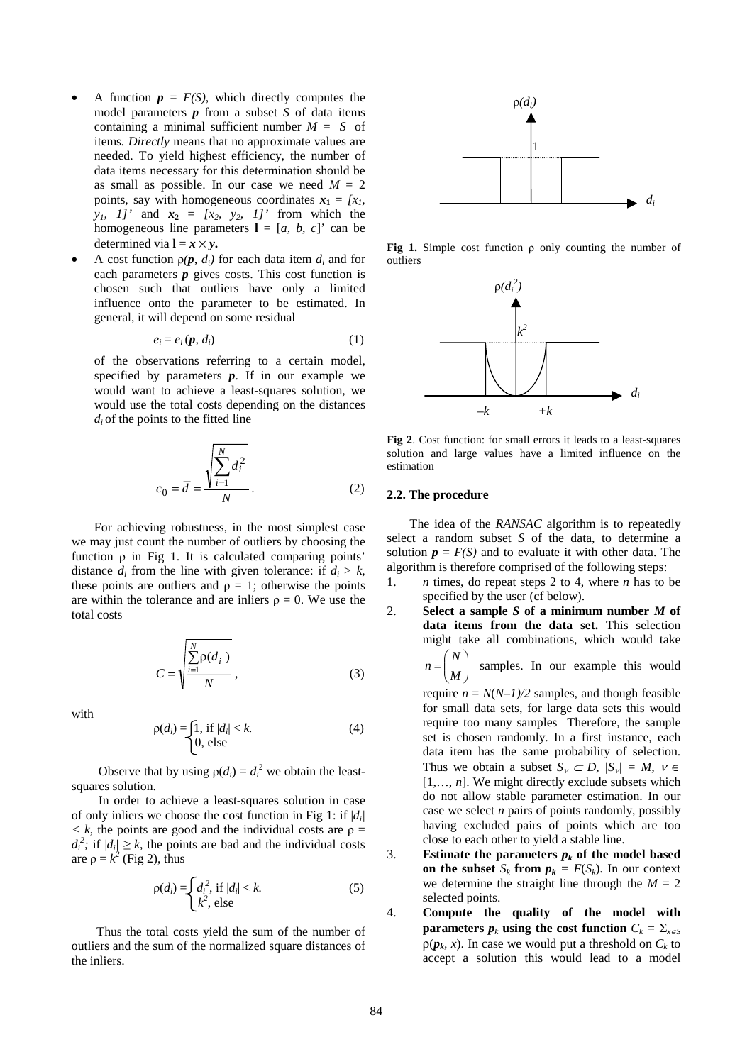- A function  $p = F(S)$ , which directly computes the model parameters *p* from a subset *S* of data items containing a minimal sufficient number *M = |S|* of items*. Directly* means that no approximate values are needed. To yield highest efficiency, the number of data items necessary for this determination should be as small as possible. In our case we need  $M = 2$ points, say with homogeneous coordinates  $x_1 = [x_1, x_2]$  $y_1$ ,  $1$ ' and  $x_2 = [x_2, y_2, 1]$ ' from which the homogeneous line parameters  $I = [a, b, c]'$  can be determined via  $\mathbf{l} = \mathbf{x} \times \mathbf{y}$ .
- A cost function  $\rho(\mathbf{p}, d_i)$  for each data item  $d_i$  and for each parameters  $p$  gives costs. This cost function is chosen such that outliers have only a limited influence onto the parameter to be estimated. In general, it will depend on some residual

$$
e_i = e_i(\boldsymbol{p}, d_i) \tag{1}
$$

of the observations referring to a certain model, specified by parameters *p*. If in our example we would want to achieve a least-squares solution, we would use the total costs depending on the distances  $d_i$  of the points to the fitted line

$$
c_0 = \overline{d} = \frac{\sqrt{\sum_{i=1}^{N} d_i^2}}{N}.
$$
 (2)

For achieving robustness, in the most simplest case we may just count the number of outliers by choosing the function ρ in Fig 1. It is calculated comparing points' distance  $d_i$  from the line with given tolerance: if  $d_i > k$ , these points are outliers and  $\rho = 1$ ; otherwise the points are within the tolerance and are inliers  $\rho = 0$ . We use the total costs

$$
C = \sqrt{\frac{\sum_{i=1}^{N} \rho(d_i)}{N}},
$$
\n(3)

with

$$
\rho(d_i) = \begin{cases} 1, & \text{if } |d_i| < k. \\ 0, & \text{else} \end{cases} \tag{4}
$$

Observe that by using  $p(d_i) = d_i^2$  we obtain the leastsquares solution.

In order to achieve a least-squares solution in case of only inliers we choose the cost function in Fig 1: if  $|d_i|$  $\langle k \rangle$ , the points are good and the individual costs are  $\rho =$  $d_i^2$ ; if  $|d_i| \geq k$ , the points are bad and the individual costs are  $\rho = k^2$  (Fig 2), thus

$$
\rho(d_i) = \begin{cases} d_i^2, & \text{if } |d_i| < k, \\ k^2, & \text{else} \end{cases} \tag{5}
$$

Thus the total costs yield the sum of the number of outliers and the sum of the normalized square distances of the inliers.



**Fig 1.** Simple cost function ρ only counting the number of outliers



**Fig 2**. Cost function: for small errors it leads to a least-squares solution and large values have a limited influence on the estimation

# **2.2. The procedure**

The idea of the *RANSAC* algorithm is to repeatedly select a random subset *S* of the data, to determine a solution  $p = F(S)$  and to evaluate it with other data. The algorithm is therefore comprised of the following steps:

- 1. *n* times, do repeat steps 2 to 4, where *n* has to be specified by the user (cf below).
- 2. **Select a sample** *S* **of a minimum number** *M* **of data items from the data set.** This selection might take all combinations, which would take

 $\overline{\phantom{a}}$  $\overline{\phantom{a}}$ J  $\backslash$  $\mathsf{I}$  $\mathsf{I}$  $\overline{\mathcal{L}}$  $=\left(\frac{N}{M}\right)$ samples. In our example this would

require  $n = N(N-1)/2$  samples, and though feasible for small data sets, for large data sets this would require too many samples Therefore, the sample set is chosen randomly. In a first instance, each data item has the same probability of selection. Thus we obtain a subset  $S_v \subset D$ ,  $|S_v| = M$ ,  $v \in$  $[1, \ldots, n]$ . We might directly exclude subsets which do not allow stable parameter estimation. In our case we select *n* pairs of points randomly, possibly having excluded pairs of points which are too close to each other to yield a stable line.

- 3. **Estimate the parameters**  $p_k$  **of the model based on the subset**  $S_k$  **from**  $p_k = F(S_k)$ . In our context we determine the straight line through the  $M = 2$ selected points.
- 4. **Compute the quality of the model with parameters**  $p_k$  **using the cost function**  $C_k = \sum_{x \in S} p_x^2$  $\rho(\boldsymbol{p}_k, x)$ . In case we would put a threshold on  $C_k$  to accept a solution this would lead to a model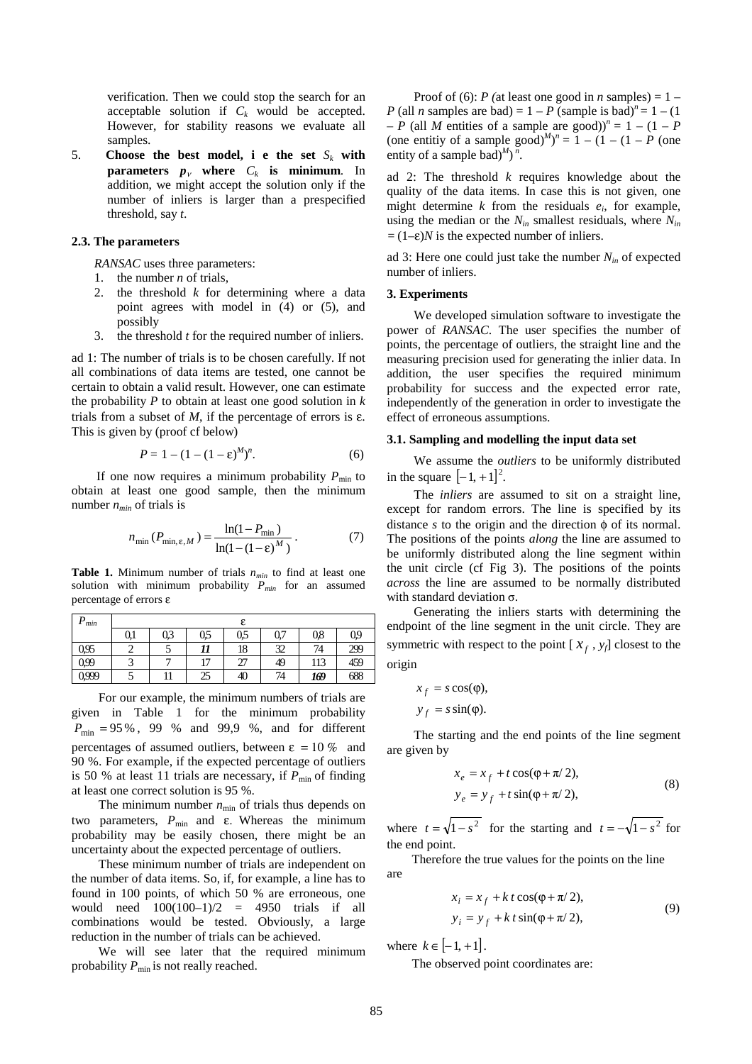verification. Then we could stop the search for an acceptable solution if  $C_k$  would be accepted. However, for stability reasons we evaluate all samples.

5. **Choose the best model, i e the set**  $S_k$  with **parameters**  $p_v$  where  $C_k$  is minimum. In addition, we might accept the solution only if the number of inliers is larger than a prespecified threshold, say *t*.

# **2.3. The parameters**

*RANSAC* uses three parameters:

- 1. the number *n* of trials,
- 2. the threshold *k* for determining where a data point agrees with model in (4) or (5), and possibly
- 3. the threshold *t* for the required number of inliers.

ad 1: The number of trials is to be chosen carefully. If not all combinations of data items are tested, one cannot be certain to obtain a valid result. However, one can estimate the probability *P* to obtain at least one good solution in *k* trials from a subset of  $M$ , if the percentage of errors is  $\varepsilon$ . This is given by (proof cf below)

$$
P = 1 - (1 - (1 - \varepsilon)^M)^n.
$$
 (6)

If one now requires a minimum probability  $P_{\text{min}}$  to obtain at least one good sample, then the minimum number  $n_{min}$  of trials is

$$
n_{\min} (P_{\min, \varepsilon, M}) = \frac{\ln(1 - P_{\min})}{\ln(1 - (1 - \varepsilon)^M)}.
$$
 (7)

**Table 1.** Minimum number of trials  $n_{min}$  to find at least one solution with minimum probability  $P_{min}$  for an assumed percentage of errors ε

| n<br>min |     |     |       |     |     |     |     |
|----------|-----|-----|-------|-----|-----|-----|-----|
|          | 0.1 | 0,3 | 0,5   | 0,5 | 0,7 | 0,8 | 09  |
| 0.95     |     |     | 11    | 18  | 32  | 74  | 299 |
| 0.99     |     |     | $1 -$ | 27  | 49  | 113 | 459 |
| 0.999    |     | 11  | 25    | 40  | 74  | 169 | 688 |

For our example, the minimum numbers of trials are given in Table 1 for the minimum probability  $P_{\text{min}} = 95\%$ , 99 % and 99,9 %, and for different percentages of assumed outliers, between  $\varepsilon = 10\%$  and 90 %. For example, if the expected percentage of outliers is 50 % at least 11 trials are necessary, if  $P_{\text{min}}$  of finding at least one correct solution is 95 %.

The minimum number  $n_{\min}$  of trials thus depends on two parameters,  $P_{min}$  and ε. Whereas the minimum probability may be easily chosen, there might be an uncertainty about the expected percentage of outliers.

These minimum number of trials are independent on the number of data items. So, if, for example, a line has to found in 100 points, of which 50 % are erroneous, one would need  $100(100-1)/2 = 4950$  trials if all combinations would be tested. Obviously, a large reduction in the number of trials can be achieved.

We will see later that the required minimum probability  $P_{\text{min}}$  is not really reached.

Proof of (6): *P* (at least one good in *n* samples) =  $1 -$ *P* (all *n* samples are bad) =  $1 - P$  (sample is bad)<sup>*n*</sup> =  $1 - (1$  $-P$  (all *M* entities of a sample are good))<sup>n</sup> = 1 – (1 – *P* (one entitiy of a sample good)<sup> $M$ </sup>)<sup>n</sup> = 1 – (1 – (1 – *P* (one entity of a sample bad)<sup> $M$ </sup>)<sup> $n$ </sup>.

ad 2: The threshold *k* requires knowledge about the quality of the data items. In case this is not given, one might determine *k* from the residuals *ei*, for example, using the median or the  $N_{in}$  smallest residuals, where  $N_{in}$ *=*(1–ε)*N* is the expected number of inliers.

ad 3: Here one could just take the number  $N_{in}$  of expected number of inliers.

#### **3. Experiments**

We developed simulation software to investigate the power of *RANSAC*. The user specifies the number of points, the percentage of outliers, the straight line and the measuring precision used for generating the inlier data. In addition, the user specifies the required minimum probability for success and the expected error rate, independently of the generation in order to investigate the effect of erroneous assumptions.

### **3.1. Sampling and modelling the input data set**

We assume the *outliers* to be uniformly distributed in the square  $[-1, +1]^2$ .

 The *inliers* are assumed to sit on a straight line, except for random errors. The line is specified by its distance *s* to the origin and the direction φ of its normal. The positions of the points *along* the line are assumed to be uniformly distributed along the line segment within the unit circle (cf Fig 3). The positions of the points *across* the line are assumed to be normally distributed with standard deviation σ.

Generating the inliers starts with determining the endpoint of the line segment in the unit circle. They are symmetric with respect to the point  $[x_f, y_f]$  closest to the origin

$$
x_f = s \cos(\varphi),
$$

 $y_f = s \sin(\varphi).$ 

The starting and the end points of the line segment are given by

$$
x_e = x_f + t \cos(\varphi + \pi/2),
$$
  
\n
$$
y_e = y_f + t \sin(\varphi + \pi/2),
$$
\n(8)

where  $t = \sqrt{1 - s^2}$  for the starting and  $t = -\sqrt{1 - s^2}$  for the end point.

Therefore the true values for the points on the line are

$$
x_i = x_f + kt \cos(\varphi + \pi/2),
$$
  
\n
$$
y_i = y_f + kt \sin(\varphi + \pi/2),
$$
\n(9)

where  $k \in [-1, +1]$ .

The observed point coordinates are: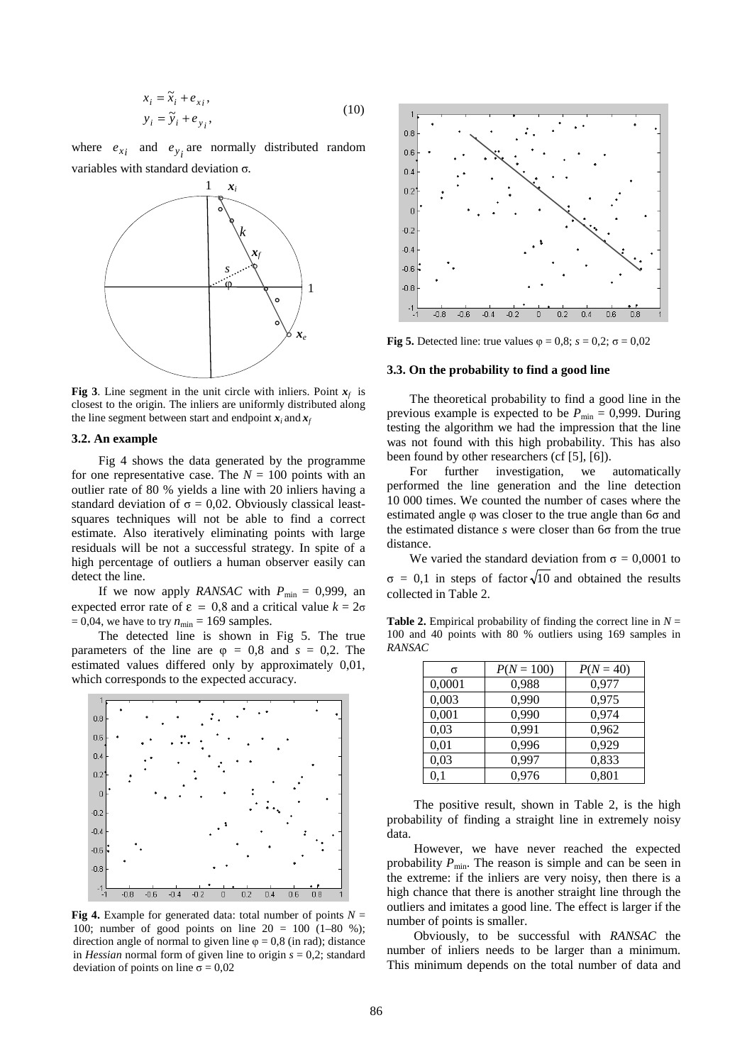$$
x_i = \tilde{x}_i + e_{xi},
$$
  
\n
$$
y_i = \tilde{y}_i + e_{y_i},
$$
\n(10)

where  $e_{xi}$  and  $e_{yi}$  are normally distributed random variables with standard deviation σ*.* 



**Fig 3**. Line segment in the unit circle with inliers. Point  $x_f$  is closest to the origin. The inliers are uniformly distributed along the line segment between start and endpoint  $x_i$  and  $x_f$ 

#### **3.2. An example**

Fig 4 shows the data generated by the programme for one representative case. The  $N = 100$  points with an outlier rate of 80 % yields a line with 20 inliers having a standard deviation of  $\sigma = 0.02$ . Obviously classical leastsquares techniques will not be able to find a correct estimate. Also iteratively eliminating points with large residuals will be not a successful strategy. In spite of a high percentage of outliers a human observer easily can detect the line.

If we now apply *RANSAC* with  $P_{\text{min}} = 0.999$ , an expected error rate of  $\varepsilon = 0.8$  and a critical value  $k = 2\sigma$  $= 0.04$ , we have to try  $n_{\text{min}} = 169$  samples.

The detected line is shown in Fig 5. The true parameters of the line are  $\varphi = 0.8$  and  $s = 0.2$ . The estimated values differed only by approximately 0,01, which corresponds to the expected accuracy.



**Fig 4.** Example for generated data: total number of points  $N =$ 100; number of good points on line  $20 = 100$  (1–80 %); direction angle of normal to given line  $\varphi = 0.8$  (in rad); distance in *Hessian* normal form of given line to origin *s* = 0,2; standard deviation of points on line  $\sigma = 0.02$ 



**Fig 5.** Detected line: true values  $\varphi = 0.8$ ;  $s = 0.2$ ;  $\sigma = 0.02$ 

#### **3.3. On the probability to find a good line**

The theoretical probability to find a good line in the previous example is expected to be  $P_{\text{min}} = 0.999$ . During testing the algorithm we had the impression that the line was not found with this high probability. This has also been found by other researchers (cf [5], [6]).

For further investigation, we automatically performed the line generation and the line detection 10 000 times. We counted the number of cases where the estimated angle φ was closer to the true angle than 6σ and the estimated distance *s* were closer than 6σ from the true distance.

We varied the standard deviation from  $\sigma = 0.0001$  to  $\sigma = 0.1$  in steps of factor  $\sqrt{10}$  and obtained the results collected in Table 2.

**Table 2.** Empirical probability of finding the correct line in  $N =$ 100 and 40 points with 80 % outliers using 169 samples in *RANSAC*

| σ         | $P(N = 100)$ | $P(N = 40)$ |
|-----------|--------------|-------------|
| 0,0001    | 0,988        | 0,977       |
| 0,003     | 0,990        | 0,975       |
| 0,001     | 0,990        | 0.974       |
| 0,03      | 0,991        | 0,962       |
| 0,01      | 0,996        | 0,929       |
| 0,03      | 0,997        | 0,833       |
| $\rm 0.1$ | 0.976        | 0,801       |

The positive result, shown in Table 2, is the high probability of finding a straight line in extremely noisy data.

However, we have never reached the expected probability  $P_{\text{min}}$ . The reason is simple and can be seen in the extreme: if the inliers are very noisy, then there is a high chance that there is another straight line through the outliers and imitates a good line. The effect is larger if the number of points is smaller.

Obviously, to be successful with *RANSAC* the number of inliers needs to be larger than a minimum. This minimum depends on the total number of data and